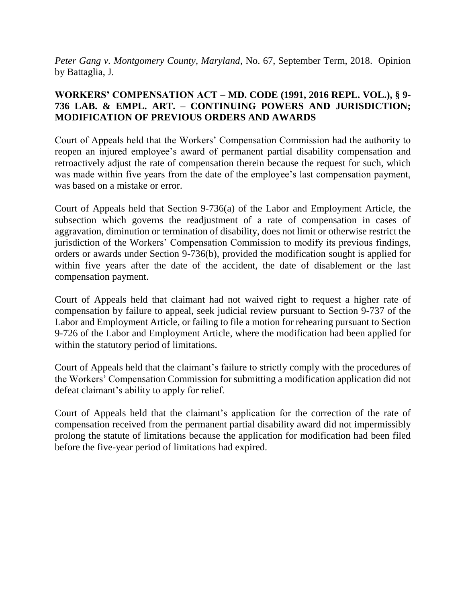*Peter Gang v. Montgomery County, Maryland*, No. 67, September Term, 2018. Opinion by Battaglia, J.

# **WORKERS' COMPENSATION ACT – MD. CODE (1991, 2016 REPL. VOL.), § 9- 736 LAB. & EMPL. ART. – CONTINUING POWERS AND JURISDICTION; MODIFICATION OF PREVIOUS ORDERS AND AWARDS**

Court of Appeals held that the Workers' Compensation Commission had the authority to reopen an injured employee's award of permanent partial disability compensation and retroactively adjust the rate of compensation therein because the request for such, which was made within five years from the date of the employee's last compensation payment, was based on a mistake or error.

Court of Appeals held that Section 9-736(a) of the Labor and Employment Article, the subsection which governs the readjustment of a rate of compensation in cases of aggravation, diminution or termination of disability, does not limit or otherwise restrict the jurisdiction of the Workers' Compensation Commission to modify its previous findings, orders or awards under Section 9-736(b), provided the modification sought is applied for within five years after the date of the accident, the date of disablement or the last compensation payment.

Court of Appeals held that claimant had not waived right to request a higher rate of compensation by failure to appeal, seek judicial review pursuant to Section 9-737 of the Labor and Employment Article, or failing to file a motion for rehearing pursuant to Section 9-726 of the Labor and Employment Article, where the modification had been applied for within the statutory period of limitations.

Court of Appeals held that the claimant's failure to strictly comply with the procedures of the Workers' Compensation Commission for submitting a modification application did not defeat claimant's ability to apply for relief.

Court of Appeals held that the claimant's application for the correction of the rate of compensation received from the permanent partial disability award did not impermissibly prolong the statute of limitations because the application for modification had been filed before the five-year period of limitations had expired.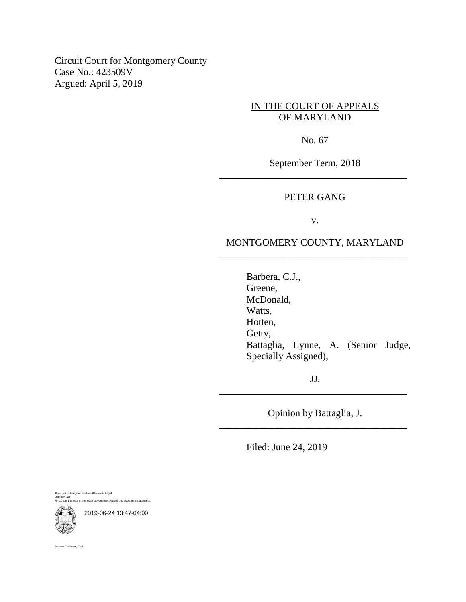Circuit Court for Montgomery County Case No.: 423509V Argued: April 5, 2019

# IN THE COURT OF APPEALS OF MARYLAND

No. 67

September Term, 2018 \_\_\_\_\_\_\_\_\_\_\_\_\_\_\_\_\_\_\_\_\_\_\_\_\_\_\_\_\_\_\_\_\_\_\_\_\_\_

### PETER GANG

v.

## MONTGOMERY COUNTY, MARYLAND \_\_\_\_\_\_\_\_\_\_\_\_\_\_\_\_\_\_\_\_\_\_\_\_\_\_\_\_\_\_\_\_\_\_\_\_\_\_

Barbera, C.J., Greene, McDonald, Watts, Hotten, Getty, Battaglia, Lynne, A. (Senior Judge, Specially Assigned),

JJ. \_\_\_\_\_\_\_\_\_\_\_\_\_\_\_\_\_\_\_\_\_\_\_\_\_\_\_\_\_\_\_\_\_\_\_\_\_\_

Opinion by Battaglia, J. \_\_\_\_\_\_\_\_\_\_\_\_\_\_\_\_\_\_\_\_\_\_\_\_\_\_\_\_\_\_\_\_\_\_\_\_\_\_

Filed: June 24, 2019

Pursuant to Maryland Uniform Electronic Legal Materials Act (§§ 10-1601 et seq. of the State Government Article) this document is authentic.



2019-06-24 13:47-04:00

Suzanne C. Johnson, Clerk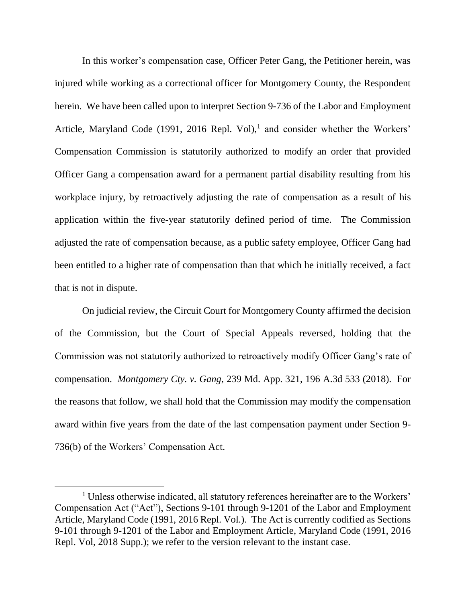In this worker's compensation case, Officer Peter Gang, the Petitioner herein, was injured while working as a correctional officer for Montgomery County, the Respondent herein. We have been called upon to interpret Section 9-736 of the Labor and Employment Article, Maryland Code (1991, 2016 Repl. Vol),<sup>1</sup> and consider whether the Workers' Compensation Commission is statutorily authorized to modify an order that provided Officer Gang a compensation award for a permanent partial disability resulting from his workplace injury, by retroactively adjusting the rate of compensation as a result of his application within the five-year statutorily defined period of time. The Commission adjusted the rate of compensation because, as a public safety employee, Officer Gang had been entitled to a higher rate of compensation than that which he initially received, a fact that is not in dispute.

On judicial review, the Circuit Court for Montgomery County affirmed the decision of the Commission, but the Court of Special Appeals reversed, holding that the Commission was not statutorily authorized to retroactively modify Officer Gang's rate of compensation. *Montgomery Cty. v. Gang*, 239 Md. App. 321, 196 A.3d 533 (2018). For the reasons that follow, we shall hold that the Commission may modify the compensation award within five years from the date of the last compensation payment under Section 9- 736(b) of the Workers' Compensation Act.

<sup>&</sup>lt;sup>1</sup> Unless otherwise indicated, all statutory references hereinafter are to the Workers' Compensation Act ("Act"), Sections 9-101 through 9-1201 of the Labor and Employment Article, Maryland Code (1991, 2016 Repl. Vol.). The Act is currently codified as Sections 9-101 through 9-1201 of the Labor and Employment Article, Maryland Code (1991, 2016 Repl. Vol, 2018 Supp.); we refer to the version relevant to the instant case.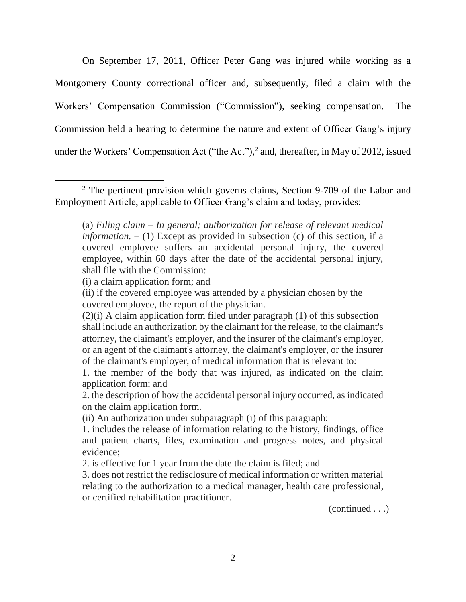On September 17, 2011, Officer Peter Gang was injured while working as a Montgomery County correctional officer and, subsequently, filed a claim with the Workers' Compensation Commission ("Commission"), seeking compensation. The Commission held a hearing to determine the nature and extent of Officer Gang's injury under the Workers' Compensation Act ("the Act"), 2 and, thereafter, in May of 2012, issued

(i) a claim application form; and

 $\overline{a}$ 

(continued . . .)

<sup>&</sup>lt;sup>2</sup> The pertinent provision which governs claims, Section 9-709 of the Labor and Employment Article, applicable to Officer Gang's claim and today, provides:

<sup>(</sup>a) *Filing claim – In general; authorization for release of relevant medical information. –* (1) Except as provided in subsection (c) of this section, if a covered employee suffers an accidental personal injury, the covered employee, within 60 days after the date of the accidental personal injury, shall file with the Commission:

<sup>(</sup>ii) if the covered employee was attended by a physician chosen by the covered employee, the report of the physician.

<sup>(2)(</sup>i) A claim application form filed under paragraph (1) of this subsection shall include an authorization by the claimant for the release, to the claimant's attorney, the claimant's employer, and the insurer of the claimant's employer, or an agent of the claimant's attorney, the claimant's employer, or the insurer of the claimant's employer, of medical information that is relevant to:

<sup>1.</sup> the member of the body that was injured, as indicated on the claim application form; and

<sup>2.</sup> the description of how the accidental personal injury occurred, as indicated on the claim application form.

<sup>(</sup>ii) An authorization under subparagraph (i) of this paragraph:

<sup>1.</sup> includes the release of information relating to the history, findings, office and patient charts, files, examination and progress notes, and physical evidence;

<sup>2.</sup> is effective for 1 year from the date the claim is filed; and

<sup>3.</sup> does not restrict the redisclosure of medical information or written material relating to the authorization to a medical manager, health care professional, or certified rehabilitation practitioner.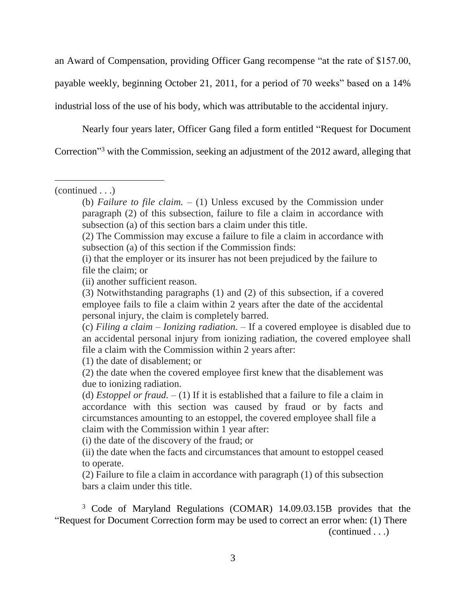an Award of Compensation, providing Officer Gang recompense "at the rate of \$157.00, payable weekly, beginning October 21, 2011, for a period of 70 weeks" based on a 14% industrial loss of the use of his body, which was attributable to the accidental injury.

Nearly four years later, Officer Gang filed a form entitled "Request for Document

Correction<sup>3</sup> with the Commission, seeking an adjustment of the 2012 award, alleging that

 $\overline{a}$ 

(1) the date of disablement; or

(i) the date of the discovery of the fraud; or

(ii) the date when the facts and circumstances that amount to estoppel ceased to operate.

(2) Failure to file a claim in accordance with paragraph (1) of this subsection bars a claim under this title.

<sup>3</sup> Code of Maryland Regulations (COMAR) 14.09.03.15B provides that the "Request for Document Correction form may be used to correct an error when: (1) There

(continued . . .)

<sup>(</sup>continued . . .)

<sup>(</sup>b) *Failure to file claim.* – (1) Unless excused by the Commission under paragraph (2) of this subsection, failure to file a claim in accordance with subsection (a) of this section bars a claim under this title.

<sup>(2)</sup> The Commission may excuse a failure to file a claim in accordance with subsection (a) of this section if the Commission finds:

<sup>(</sup>i) that the employer or its insurer has not been prejudiced by the failure to file the claim; or

<sup>(</sup>ii) another sufficient reason.

<sup>(3)</sup> Notwithstanding paragraphs (1) and (2) of this subsection, if a covered employee fails to file a claim within 2 years after the date of the accidental personal injury, the claim is completely barred.

<sup>(</sup>c) *Filing a claim – Ionizing radiation.* – If a covered employee is disabled due to an accidental personal injury from ionizing radiation, the covered employee shall file a claim with the Commission within 2 years after:

<sup>(2)</sup> the date when the covered employee first knew that the disablement was due to ionizing radiation.

<sup>(</sup>d) *Estoppel or fraud.* – (1) If it is established that a failure to file a claim in accordance with this section was caused by fraud or by facts and circumstances amounting to an estoppel, the covered employee shall file a claim with the Commission within 1 year after: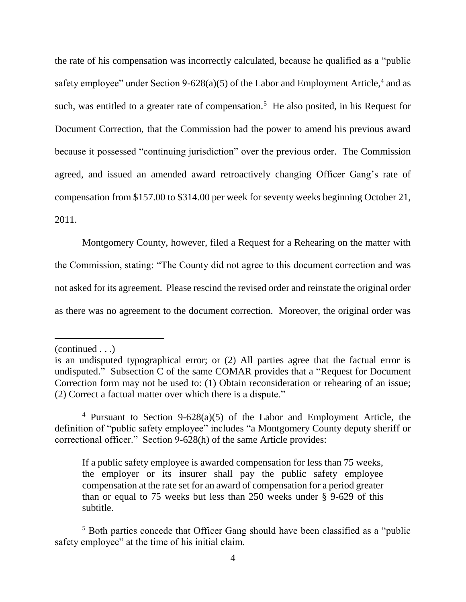the rate of his compensation was incorrectly calculated, because he qualified as a "public safety employee" under Section 9-628(a)(5) of the Labor and Employment Article,<sup>4</sup> and as such, was entitled to a greater rate of compensation.<sup>5</sup> He also posited, in his Request for Document Correction, that the Commission had the power to amend his previous award because it possessed "continuing jurisdiction" over the previous order. The Commission agreed, and issued an amended award retroactively changing Officer Gang's rate of compensation from \$157.00 to \$314.00 per week for seventy weeks beginning October 21, 2011.

Montgomery County, however, filed a Request for a Rehearing on the matter with the Commission, stating: "The County did not agree to this document correction and was not asked for its agreement. Please rescind the revised order and reinstate the original order as there was no agreement to the document correction. Moreover, the original order was

(continued . . .)

is an undisputed typographical error; or (2) All parties agree that the factual error is undisputed." Subsection C of the same COMAR provides that a "Request for Document Correction form may not be used to: (1) Obtain reconsideration or rehearing of an issue; (2) Correct a factual matter over which there is a dispute."

<sup>&</sup>lt;sup>4</sup> Pursuant to Section 9-628(a)(5) of the Labor and Employment Article, the definition of "public safety employee" includes "a Montgomery County deputy sheriff or correctional officer." Section 9-628(h) of the same Article provides:

If a public safety employee is awarded compensation for less than 75 weeks, the employer or its insurer shall pay the public safety employee compensation at the rate set for an award of compensation for a period greater than or equal to 75 weeks but less than 250 weeks under § 9-629 of this subtitle.

<sup>&</sup>lt;sup>5</sup> Both parties concede that Officer Gang should have been classified as a "public" safety employee" at the time of his initial claim.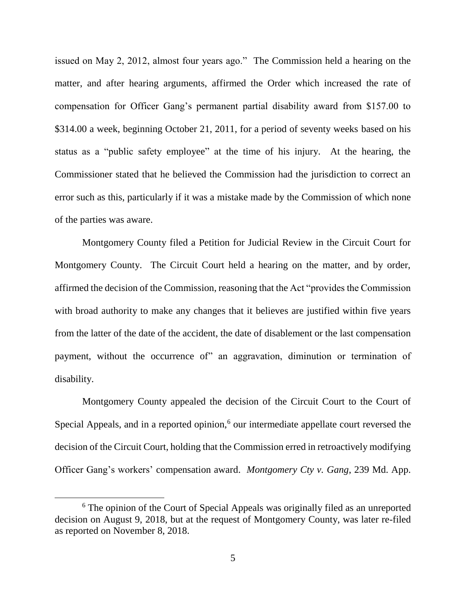issued on May 2, 2012, almost four years ago." The Commission held a hearing on the matter, and after hearing arguments, affirmed the Order which increased the rate of compensation for Officer Gang's permanent partial disability award from \$157.00 to \$314.00 a week, beginning October 21, 2011, for a period of seventy weeks based on his status as a "public safety employee" at the time of his injury. At the hearing, the Commissioner stated that he believed the Commission had the jurisdiction to correct an error such as this, particularly if it was a mistake made by the Commission of which none of the parties was aware.

Montgomery County filed a Petition for Judicial Review in the Circuit Court for Montgomery County. The Circuit Court held a hearing on the matter, and by order, affirmed the decision of the Commission, reasoning that the Act "provides the Commission with broad authority to make any changes that it believes are justified within five years from the latter of the date of the accident, the date of disablement or the last compensation payment, without the occurrence of" an aggravation, diminution or termination of disability.

Montgomery County appealed the decision of the Circuit Court to the Court of Special Appeals, and in a reported opinion, $6$  our intermediate appellate court reversed the decision of the Circuit Court, holding that the Commission erred in retroactively modifying Officer Gang's workers' compensation award. *Montgomery Cty v. Gang*, 239 Md. App.

<sup>&</sup>lt;sup>6</sup> The opinion of the Court of Special Appeals was originally filed as an unreported decision on August 9, 2018, but at the request of Montgomery County, was later re-filed as reported on November 8, 2018.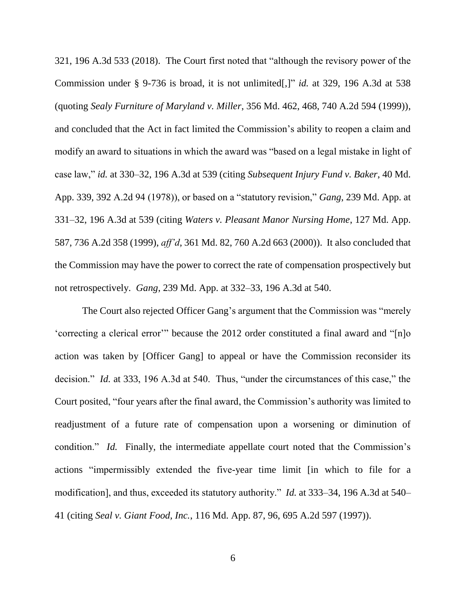321, 196 A.3d 533 (2018). The Court first noted that "although the revisory power of the Commission under § 9-736 is broad, it is not unlimited[,]" *id.* at 329, 196 A.3d at 538 (quoting *Sealy Furniture of Maryland v. Miller*, 356 Md. 462, 468, 740 A.2d 594 (1999)), and concluded that the Act in fact limited the Commission's ability to reopen a claim and modify an award to situations in which the award was "based on a legal mistake in light of case law," *id.* at 330–32, 196 A.3d at 539 (citing *Subsequent Injury Fund v. Baker*, 40 Md. App. 339, 392 A.2d 94 (1978)), or based on a "statutory revision," *Gang*, 239 Md. App. at 331–32, 196 A.3d at 539 (citing *Waters v. Pleasant Manor Nursing Home*, 127 Md. App. 587, 736 A.2d 358 (1999), *aff'd*, 361 Md. 82, 760 A.2d 663 (2000)). It also concluded that the Commission may have the power to correct the rate of compensation prospectively but not retrospectively. *Gang*, 239 Md. App. at 332–33, 196 A.3d at 540.

The Court also rejected Officer Gang's argument that the Commission was "merely 'correcting a clerical error'" because the 2012 order constituted a final award and "[n]o action was taken by [Officer Gang] to appeal or have the Commission reconsider its decision." *Id.* at 333, 196 A.3d at 540. Thus, "under the circumstances of this case," the Court posited, "four years after the final award, the Commission's authority was limited to readjustment of a future rate of compensation upon a worsening or diminution of condition." *Id.* Finally, the intermediate appellate court noted that the Commission's actions "impermissibly extended the five-year time limit [in which to file for a modification], and thus, exceeded its statutory authority." *Id.* at 333–34, 196 A.3d at 540– 41 (citing *Seal v. Giant Food, Inc.*, 116 Md. App. 87, 96, 695 A.2d 597 (1997)).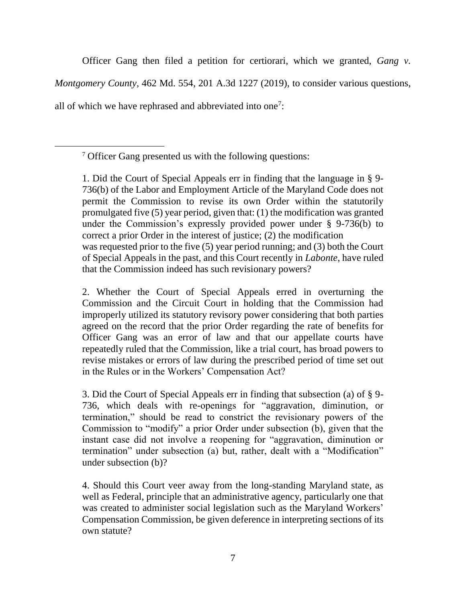Officer Gang then filed a petition for certiorari, which we granted, *Gang v. Montgomery County*, 462 Md. 554, 201 A.3d 1227 (2019), to consider various questions, all of which we have rephrased and abbreviated into one<sup>7</sup>:

<sup>7</sup> Officer Gang presented us with the following questions:

 $\overline{a}$ 

1. Did the Court of Special Appeals err in finding that the language in § 9- 736(b) of the Labor and Employment Article of the Maryland Code does not permit the Commission to revise its own Order within the statutorily promulgated five (5) year period, given that: (1) the modification was granted under the Commission's expressly provided power under § 9-736(b) to correct a prior Order in the interest of justice; (2) the modification was requested prior to the five (5) year period running; and (3) both the Court of Special Appeals in the past, and this Court recently in *Labonte*, have ruled that the Commission indeed has such revisionary powers?

2. Whether the Court of Special Appeals erred in overturning the Commission and the Circuit Court in holding that the Commission had improperly utilized its statutory revisory power considering that both parties agreed on the record that the prior Order regarding the rate of benefits for Officer Gang was an error of law and that our appellate courts have repeatedly ruled that the Commission, like a trial court, has broad powers to revise mistakes or errors of law during the prescribed period of time set out in the Rules or in the Workers' Compensation Act?

3. Did the Court of Special Appeals err in finding that subsection (a) of § 9- 736, which deals with re-openings for "aggravation, diminution, or termination," should be read to constrict the revisionary powers of the Commission to "modify" a prior Order under subsection (b), given that the instant case did not involve a reopening for "aggravation, diminution or termination" under subsection (a) but, rather, dealt with a "Modification" under subsection (b)?

4. Should this Court veer away from the long-standing Maryland state, as well as Federal, principle that an administrative agency, particularly one that was created to administer social legislation such as the Maryland Workers' Compensation Commission, be given deference in interpreting sections of its own statute?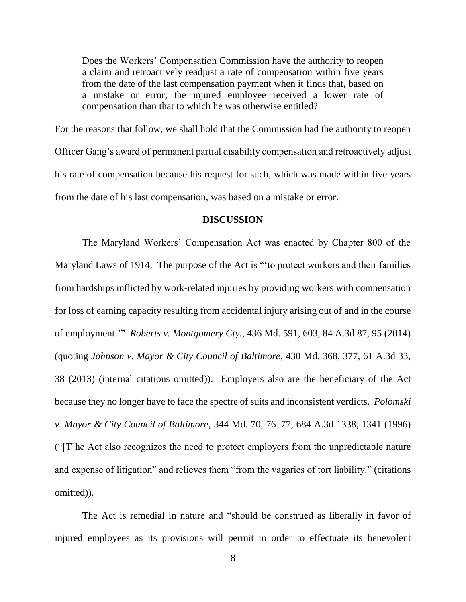Does the Workers' Compensation Commission have the authority to reopen a claim and retroactively readjust a rate of compensation within five years from the date of the last compensation payment when it finds that, based on a mistake or error, the injured employee received a lower rate of compensation than that to which he was otherwise entitled?

For the reasons that follow, we shall hold that the Commission had the authority to reopen Officer Gang's award of permanent partial disability compensation and retroactively adjust his rate of compensation because his request for such, which was made within five years from the date of his last compensation, was based on a mistake or error.

#### **DISCUSSION**

The Maryland Workers' Compensation Act was enacted by Chapter 800 of the Maryland Laws of 1914. The purpose of the Act is "'to protect workers and their families from hardships inflicted by work-related injuries by providing workers with compensation for loss of earning capacity resulting from accidental injury arising out of and in the course of employment.'" *Roberts v. Montgomery Cty.*, 436 Md. 591, 603, 84 A.3d 87, 95 (2014) (quoting *Johnson v. Mayor & City Council of Baltimore*, 430 Md. 368, 377, 61 A.3d 33, 38 (2013) (internal citations omitted)). Employers also are the beneficiary of the Act because they no longer have to face the spectre of suits and inconsistent verdicts. *Polomski v. Mayor & City Council of Baltimore*, 344 Md. 70, 76–77, 684 A.3d 1338, 1341 (1996) ("[T]he Act also recognizes the need to protect employers from the unpredictable nature and expense of litigation" and relieves them "from the vagaries of tort liability." (citations omitted)).

The Act is remedial in nature and "should be construed as liberally in favor of injured employees as its provisions will permit in order to effectuate its benevolent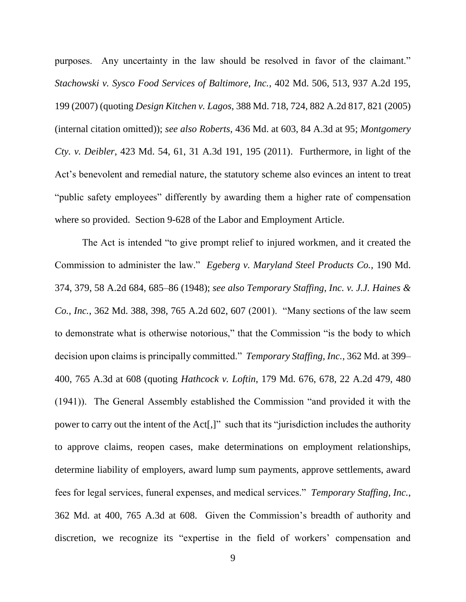purposes. Any uncertainty in the law should be resolved in favor of the claimant." *Stachowski v. Sysco Food Services of Baltimore, Inc.*, 402 Md. 506, 513, 937 A.2d 195, 199 (2007) (quoting *Design Kitchen v. Lagos*, 388 Md. 718, 724, 882 A.2d 817, 821 (2005) (internal citation omitted)); *see also Roberts*, 436 Md. at 603, 84 A.3d at 95; *Montgomery Cty. v. Deibler*, 423 Md. 54, 61, 31 A.3d 191, 195 (2011). Furthermore, in light of the Act's benevolent and remedial nature, the statutory scheme also evinces an intent to treat "public safety employees" differently by awarding them a higher rate of compensation where so provided. Section 9-628 of the Labor and Employment Article.

The Act is intended "to give prompt relief to injured workmen, and it created the Commission to administer the law." *Egeberg v. Maryland Steel Products Co.*, 190 Md. 374, 379, 58 A.2d 684, 685–86 (1948); *see also Temporary Staffing, Inc. v. J.J. Haines & Co., Inc.*, 362 Md. 388, 398, 765 A.2d 602, 607 (2001). "Many sections of the law seem to demonstrate what is otherwise notorious," that the Commission "is the body to which decision upon claims is principally committed." *Temporary Staffing, Inc.*, 362 Md. at 399– 400, 765 A.3d at 608 (quoting *Hathcock v. Loftin*, 179 Md. 676, 678, 22 A.2d 479, 480 (1941)). The General Assembly established the Commission "and provided it with the power to carry out the intent of the Act[,]" such that its "jurisdiction includes the authority to approve claims, reopen cases, make determinations on employment relationships, determine liability of employers, award lump sum payments, approve settlements, award fees for legal services, funeral expenses, and medical services." *Temporary Staffing, Inc.*, 362 Md. at 400, 765 A.3d at 608. Given the Commission's breadth of authority and discretion, we recognize its "expertise in the field of workers' compensation and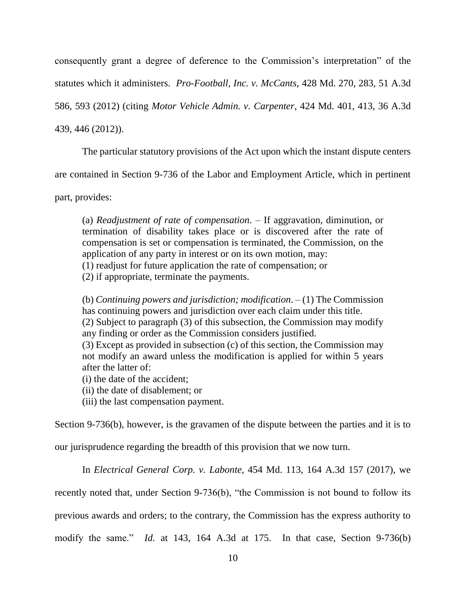consequently grant a degree of deference to the Commission's interpretation" of the statutes which it administers. *Pro-Football, Inc. v. McCants*, 428 Md. 270, 283, 51 A.3d 586, 593 (2012) (citing *Motor Vehicle Admin. v. Carpenter*, 424 Md. 401, 413, 36 A.3d

439, 446 (2012)).

The particular statutory provisions of the Act upon which the instant dispute centers

are contained in Section 9-736 of the Labor and Employment Article, which in pertinent

part, provides:

(a) *Readjustment of rate of compensation*. – If aggravation, diminution, or termination of disability takes place or is discovered after the rate of compensation is set or compensation is terminated, the Commission, on the application of any party in interest or on its own motion, may: (1) readjust for future application the rate of compensation; or (2) if appropriate, terminate the payments.

(b) *Continuing powers and jurisdiction; modification*. – (1) The Commission has continuing powers and jurisdiction over each claim under this title. (2) Subject to paragraph (3) of this subsection, the Commission may modify any finding or order as the Commission considers justified. (3) Except as provided in subsection (c) of this section, the Commission may not modify an award unless the modification is applied for within 5 years after the latter of:

(i) the date of the accident;

(ii) the date of disablement; or

(iii) the last compensation payment.

Section 9-736(b), however, is the gravamen of the dispute between the parties and it is to

our jurisprudence regarding the breadth of this provision that we now turn.

In *Electrical General Corp. v. Labonte*, 454 Md. 113, 164 A.3d 157 (2017), we

recently noted that, under Section 9-736(b), "the Commission is not bound to follow its

previous awards and orders; to the contrary, the Commission has the express authority to

modify the same." *Id.* at 143, 164 A.3d at 175. In that case, Section 9-736(b)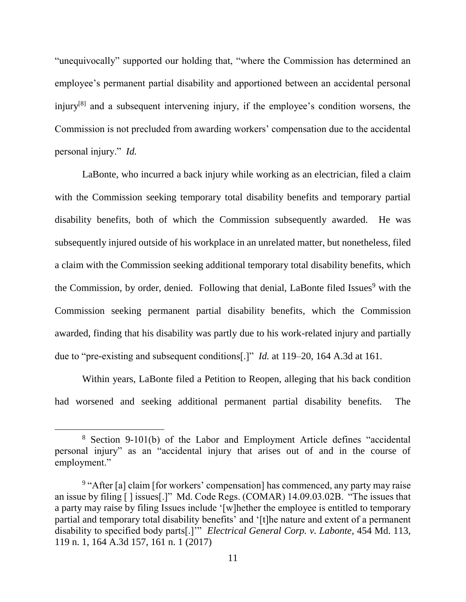"unequivocally" supported our holding that, "where the Commission has determined an employee's permanent partial disability and apportioned between an accidental personal injury<sup>[8]</sup> and a subsequent intervening injury, if the employee's condition worsens, the Commission is not precluded from awarding workers' compensation due to the accidental personal injury." *Id.* 

LaBonte, who incurred a back injury while working as an electrician, filed a claim with the Commission seeking temporary total disability benefits and temporary partial disability benefits, both of which the Commission subsequently awarded. He was subsequently injured outside of his workplace in an unrelated matter, but nonetheless, filed a claim with the Commission seeking additional temporary total disability benefits, which the Commission, by order, denied. Following that denial, LaBonte filed Issues<sup>9</sup> with the Commission seeking permanent partial disability benefits, which the Commission awarded, finding that his disability was partly due to his work-related injury and partially due to "pre-existing and subsequent conditions[.]" *Id.* at 119–20, 164 A.3d at 161.

Within years, LaBonte filed a Petition to Reopen, alleging that his back condition had worsened and seeking additional permanent partial disability benefits. The

<sup>8</sup> Section 9-101(b) of the Labor and Employment Article defines "accidental personal injury" as an "accidental injury that arises out of and in the course of employment."

<sup>&</sup>lt;sup>9</sup> "After [a] claim [for workers' compensation] has commenced, any party may raise an issue by filing [ ] issues[.]" Md. Code Regs. (COMAR) 14.09.03.02B. "The issues that a party may raise by filing Issues include '[w]hether the employee is entitled to temporary partial and temporary total disability benefits' and '[t]he nature and extent of a permanent disability to specified body parts[.]'" *Electrical General Corp. v. Labonte*, 454 Md. 113, 119 n. 1, 164 A.3d 157, 161 n. 1 (2017)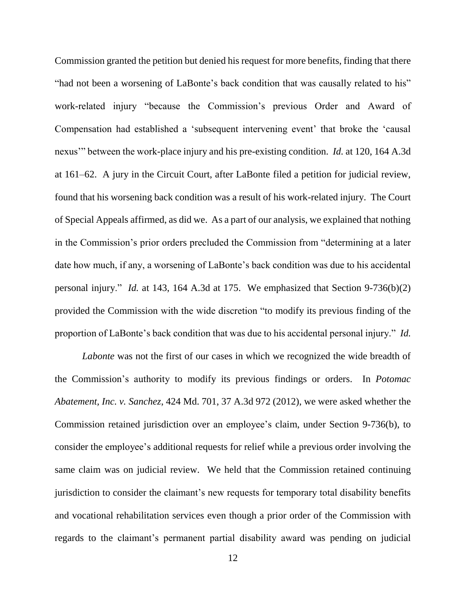Commission granted the petition but denied his request for more benefits, finding that there "had not been a worsening of LaBonte's back condition that was causally related to his" work-related injury "because the Commission's previous Order and Award of Compensation had established a 'subsequent intervening event' that broke the 'causal nexus'" between the work-place injury and his pre-existing condition. *Id.* at 120, 164 A.3d at 161–62. A jury in the Circuit Court, after LaBonte filed a petition for judicial review, found that his worsening back condition was a result of his work-related injury. The Court of Special Appeals affirmed, as did we. As a part of our analysis, we explained that nothing in the Commission's prior orders precluded the Commission from "determining at a later date how much, if any, a worsening of LaBonte's back condition was due to his accidental personal injury." *Id.* at 143, 164 A.3d at 175. We emphasized that Section 9-736(b)(2) provided the Commission with the wide discretion "to modify its previous finding of the proportion of LaBonte's back condition that was due to his accidental personal injury." *Id.*

*Labonte* was not the first of our cases in which we recognized the wide breadth of the Commission's authority to modify its previous findings or orders. In *Potomac Abatement, Inc. v. Sanchez*, 424 Md. 701, 37 A.3d 972 (2012), we were asked whether the Commission retained jurisdiction over an employee's claim, under Section 9-736(b), to consider the employee's additional requests for relief while a previous order involving the same claim was on judicial review. We held that the Commission retained continuing jurisdiction to consider the claimant's new requests for temporary total disability benefits and vocational rehabilitation services even though a prior order of the Commission with regards to the claimant's permanent partial disability award was pending on judicial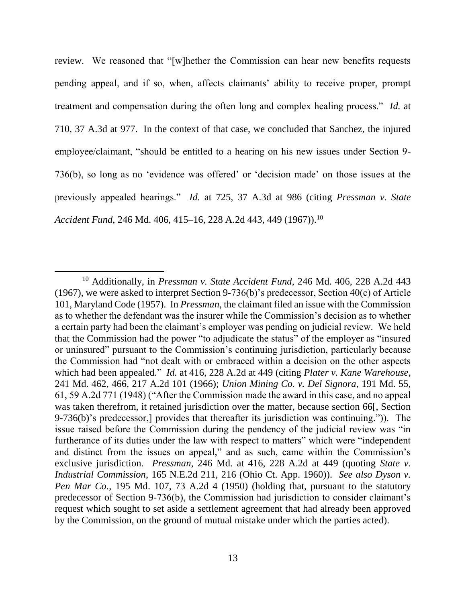review. We reasoned that "[w]hether the Commission can hear new benefits requests pending appeal, and if so, when, affects claimants' ability to receive proper, prompt treatment and compensation during the often long and complex healing process." *Id.* at 710, 37 A.3d at 977. In the context of that case, we concluded that Sanchez, the injured employee/claimant, "should be entitled to a hearing on his new issues under Section 9- 736(b), so long as no 'evidence was offered' or 'decision made' on those issues at the previously appealed hearings." *Id.* at 725, 37 A.3d at 986 (citing *Pressman v. State Accident Fund*, 246 Md. 406, 415–16, 228 A.2d 443, 449 (1967)).<sup>10</sup>

<sup>10</sup> Additionally, in *Pressman v. State Accident Fund*, 246 Md. 406, 228 A.2d 443 (1967), we were asked to interpret Section 9-736(b)'s predecessor, Section 40(c) of Article 101, Maryland Code (1957). In *Pressman*, the claimant filed an issue with the Commission as to whether the defendant was the insurer while the Commission's decision as to whether a certain party had been the claimant's employer was pending on judicial review. We held that the Commission had the power "to adjudicate the status" of the employer as "insured or uninsured" pursuant to the Commission's continuing jurisdiction, particularly because the Commission had "not dealt with or embraced within a decision on the other aspects which had been appealed." *Id.* at 416, 228 A.2d at 449 (citing *Plater v. Kane Warehouse*, 241 Md. 462, 466, 217 A.2d 101 (1966); *Union Mining Co. v. Del Signora*, 191 Md. 55, 61, 59 A.2d 771 (1948) ("After the Commission made the award in this case, and no appeal was taken therefrom, it retained jurisdiction over the matter, because section 66[, Section 9-736(b)'s predecessor,] provides that thereafter its jurisdiction was continuing.")). The issue raised before the Commission during the pendency of the judicial review was "in furtherance of its duties under the law with respect to matters" which were "independent and distinct from the issues on appeal," and as such, came within the Commission's exclusive jurisdiction. *Pressman*, 246 Md. at 416, 228 A.2d at 449 (quoting *State v. Industrial Commission*, 165 N.E.2d 211, 216 (Ohio Ct. App. 1960)). *See also Dyson v. Pen Mar Co.*, 195 Md. 107, 73 A.2d 4 (1950) (holding that, pursuant to the statutory predecessor of Section 9-736(b), the Commission had jurisdiction to consider claimant's request which sought to set aside a settlement agreement that had already been approved by the Commission, on the ground of mutual mistake under which the parties acted).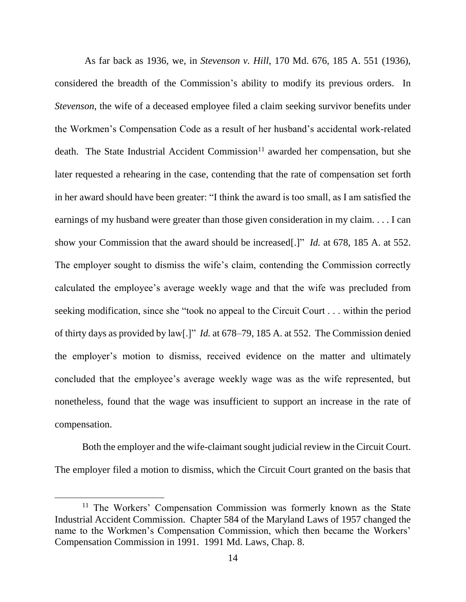As far back as 1936, we, in *Stevenson v. Hill*, 170 Md. 676, 185 A. 551 (1936), considered the breadth of the Commission's ability to modify its previous orders. In *Stevenson*, the wife of a deceased employee filed a claim seeking survivor benefits under the Workmen's Compensation Code as a result of her husband's accidental work-related death. The State Industrial Accident Commission<sup>11</sup> awarded her compensation, but she later requested a rehearing in the case, contending that the rate of compensation set forth in her award should have been greater: "I think the award is too small, as I am satisfied the earnings of my husband were greater than those given consideration in my claim. . . . I can show your Commission that the award should be increased[.]" *Id.* at 678, 185 A. at 552. The employer sought to dismiss the wife's claim, contending the Commission correctly calculated the employee's average weekly wage and that the wife was precluded from seeking modification, since she "took no appeal to the Circuit Court . . . within the period of thirty days as provided by law[.]" *Id.* at 678–79, 185 A. at 552.The Commission denied the employer's motion to dismiss, received evidence on the matter and ultimately concluded that the employee's average weekly wage was as the wife represented, but nonetheless, found that the wage was insufficient to support an increase in the rate of compensation.

Both the employer and the wife-claimant sought judicial review in the Circuit Court. The employer filed a motion to dismiss, which the Circuit Court granted on the basis that

<sup>&</sup>lt;sup>11</sup> The Workers' Compensation Commission was formerly known as the State Industrial Accident Commission. Chapter 584 of the Maryland Laws of 1957 changed the name to the Workmen's Compensation Commission, which then became the Workers' Compensation Commission in 1991. 1991 Md. Laws, Chap. 8.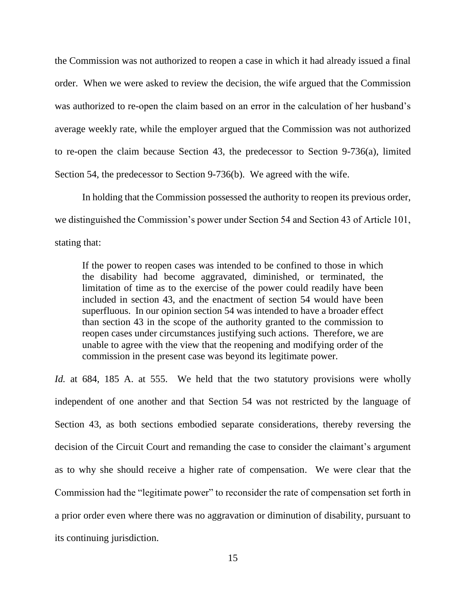the Commission was not authorized to reopen a case in which it had already issued a final order. When we were asked to review the decision, the wife argued that the Commission was authorized to re-open the claim based on an error in the calculation of her husband's average weekly rate, while the employer argued that the Commission was not authorized to re-open the claim because Section 43, the predecessor to Section 9-736(a), limited Section 54, the predecessor to Section 9-736(b). We agreed with the wife.

In holding that the Commission possessed the authority to reopen its previous order, we distinguished the Commission's power under Section 54 and Section 43 of Article 101, stating that:

If the power to reopen cases was intended to be confined to those in which the disability had become aggravated, diminished, or terminated, the limitation of time as to the exercise of the power could readily have been included in section 43, and the enactment of section 54 would have been superfluous. In our opinion section 54 was intended to have a broader effect than section 43 in the scope of the authority granted to the commission to reopen cases under circumstances justifying such actions. Therefore, we are unable to agree with the view that the reopening and modifying order of the commission in the present case was beyond its legitimate power.

*Id.* at 684, 185 A. at 555. We held that the two statutory provisions were wholly independent of one another and that Section 54 was not restricted by the language of Section 43, as both sections embodied separate considerations, thereby reversing the decision of the Circuit Court and remanding the case to consider the claimant's argument as to why she should receive a higher rate of compensation. We were clear that the Commission had the "legitimate power" to reconsider the rate of compensation set forth in a prior order even where there was no aggravation or diminution of disability, pursuant to its continuing jurisdiction.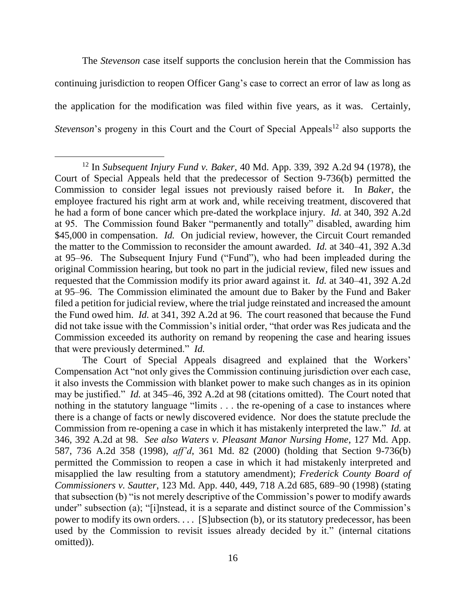The *Stevenson* case itself supports the conclusion herein that the Commission has continuing jurisdiction to reopen Officer Gang's case to correct an error of law as long as the application for the modification was filed within five years, as it was. Certainly, *Stevenson*'s progeny in this Court and the Court of Special Appeals<sup>12</sup> also supports the

<sup>12</sup> In *Subsequent Injury Fund v. Baker*, 40 Md. App. 339, 392 A.2d 94 (1978), the Court of Special Appeals held that the predecessor of Section 9-736(b) permitted the Commission to consider legal issues not previously raised before it. In *Baker*, the employee fractured his right arm at work and, while receiving treatment, discovered that he had a form of bone cancer which pre-dated the workplace injury. *Id.* at 340, 392 A.2d at 95. The Commission found Baker "permanently and totally" disabled, awarding him \$45,000 in compensation. *Id.* On judicial review, however, the Circuit Court remanded the matter to the Commission to reconsider the amount awarded. *Id.* at 340–41, 392 A.3d at 95–96. The Subsequent Injury Fund ("Fund"), who had been impleaded during the original Commission hearing, but took no part in the judicial review, filed new issues and requested that the Commission modify its prior award against it. *Id.* at 340–41, 392 A.2d at 95–96. The Commission eliminated the amount due to Baker by the Fund and Baker filed a petition for judicial review, where the trial judge reinstated and increased the amount the Fund owed him. *Id.* at 341, 392 A.2d at 96.The court reasoned that because the Fund did not take issue with the Commission's initial order, "that order was Res judicata and the Commission exceeded its authority on remand by reopening the case and hearing issues that were previously determined." *Id.* 

The Court of Special Appeals disagreed and explained that the Workers' Compensation Act "not only gives the Commission continuing jurisdiction over each case, it also invests the Commission with blanket power to make such changes as in its opinion may be justified." *Id.* at 345–46, 392 A.2d at 98 (citations omitted). The Court noted that nothing in the statutory language "limits . . . the re-opening of a case to instances where there is a change of facts or newly discovered evidence. Nor does the statute preclude the Commission from re-opening a case in which it has mistakenly interpreted the law." *Id.* at 346, 392 A.2d at 98. *See also Waters v. Pleasant Manor Nursing Home*, 127 Md. App. 587, 736 A.2d 358 (1998), *aff'd*, 361 Md. 82 (2000) (holding that Section 9-736(b) permitted the Commission to reopen a case in which it had mistakenly interpreted and misapplied the law resulting from a statutory amendment); *Frederick County Board of Commissioners v. Sautter*, 123 Md. App. 440, 449, 718 A.2d 685, 689–90 (1998) (stating that subsection (b) "is not merely descriptive of the Commission's power to modify awards under" subsection (a); "[i]nstead, it is a separate and distinct source of the Commission's power to modify its own orders. . . . [S]ubsection (b), or its statutory predecessor, has been used by the Commission to revisit issues already decided by it." (internal citations omitted)).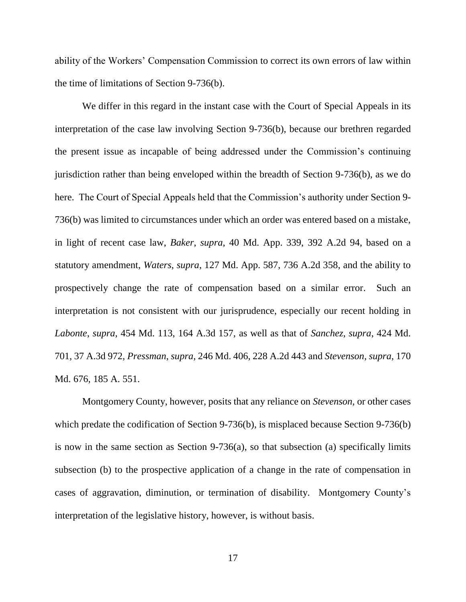ability of the Workers' Compensation Commission to correct its own errors of law within the time of limitations of Section 9-736(b).

We differ in this regard in the instant case with the Court of Special Appeals in its interpretation of the case law involving Section 9-736(b), because our brethren regarded the present issue as incapable of being addressed under the Commission's continuing jurisdiction rather than being enveloped within the breadth of Section 9-736(b), as we do here. The Court of Special Appeals held that the Commission's authority under Section 9- 736(b) was limited to circumstances under which an order was entered based on a mistake, in light of recent case law, *Baker*, *supra*, 40 Md. App. 339, 392 A.2d 94, based on a statutory amendment, *Waters*, *supra*, 127 Md. App. 587, 736 A.2d 358, and the ability to prospectively change the rate of compensation based on a similar error. Such an interpretation is not consistent with our jurisprudence, especially our recent holding in *Labonte*, *supra*, 454 Md. 113, 164 A.3d 157, as well as that of *Sanchez*, *supra*, 424 Md. 701, 37 A.3d 972, *Pressman*, *supra*, 246 Md. 406, 228 A.2d 443 and *Stevenson*, *supra*, 170 Md. 676, 185 A. 551.

Montgomery County, however, posits that any reliance on *Stevenson*, or other cases which predate the codification of Section 9-736(b), is misplaced because Section 9-736(b) is now in the same section as Section 9-736(a), so that subsection (a) specifically limits subsection (b) to the prospective application of a change in the rate of compensation in cases of aggravation, diminution, or termination of disability. Montgomery County's interpretation of the legislative history, however, is without basis.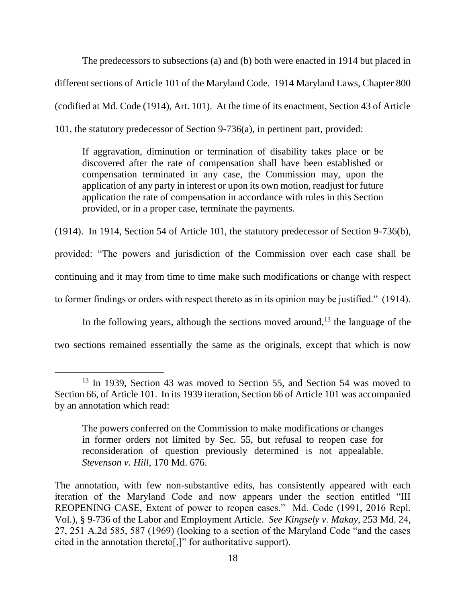The predecessors to subsections (a) and (b) both were enacted in 1914 but placed in different sections of Article 101 of the Maryland Code. 1914 Maryland Laws, Chapter 800 (codified at Md. Code (1914), Art. 101). At the time of its enactment, Section 43 of Article 101, the statutory predecessor of Section 9-736(a), in pertinent part, provided:

If aggravation, diminution or termination of disability takes place or be discovered after the rate of compensation shall have been established or compensation terminated in any case, the Commission may, upon the application of any party in interest or upon its own motion, readjust for future application the rate of compensation in accordance with rules in this Section provided, or in a proper case, terminate the payments.

(1914). In 1914, Section 54 of Article 101, the statutory predecessor of Section 9-736(b), provided: "The powers and jurisdiction of the Commission over each case shall be continuing and it may from time to time make such modifications or change with respect to former findings or orders with respect thereto as in its opinion may be justified." (1914).

In the following years, although the sections moved around,<sup>13</sup> the language of the two sections remained essentially the same as the originals, except that which is now

<sup>&</sup>lt;sup>13</sup> In 1939, Section 43 was moved to Section 55, and Section 54 was moved to Section 66, of Article 101. In its 1939 iteration, Section 66 of Article 101 was accompanied by an annotation which read:

The powers conferred on the Commission to make modifications or changes in former orders not limited by Sec. 55, but refusal to reopen case for reconsideration of question previously determined is not appealable. *Stevenson v. Hill*, 170 Md. 676.

The annotation, with few non-substantive edits, has consistently appeared with each iteration of the Maryland Code and now appears under the section entitled "III REOPENING CASE, Extent of power to reopen cases." Md. Code (1991, 2016 Repl. Vol.), § 9-736 of the Labor and Employment Article. *See Kingsely v. Makay*, 253 Md. 24, 27, 251 A.2d 585, 587 (1969) (looking to a section of the Maryland Code "and the cases cited in the annotation thereto[,]" for authoritative support).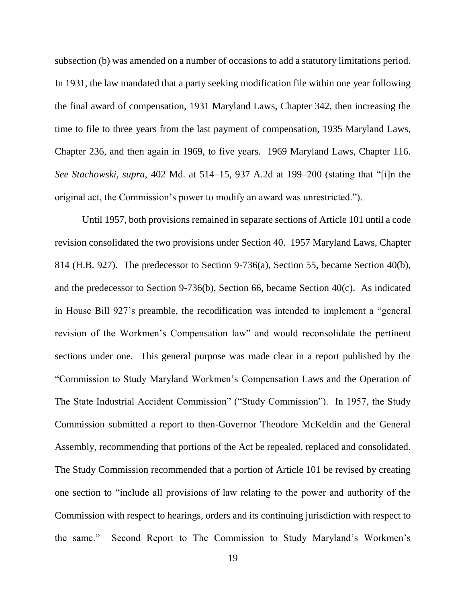subsection (b) was amended on a number of occasions to add a statutory limitations period. In 1931, the law mandated that a party seeking modification file within one year following the final award of compensation, 1931 Maryland Laws, Chapter 342, then increasing the time to file to three years from the last payment of compensation, 1935 Maryland Laws, Chapter 236, and then again in 1969, to five years. 1969 Maryland Laws, Chapter 116. *See Stachowski*, *supra*, 402 Md. at 514–15, 937 A.2d at 199–200 (stating that "[i]n the original act, the Commission's power to modify an award was unrestricted.").

Until 1957, both provisions remained in separate sections of Article 101 until a code revision consolidated the two provisions under Section 40. 1957 Maryland Laws, Chapter 814 (H.B. 927). The predecessor to Section 9-736(a), Section 55, became Section 40(b), and the predecessor to Section 9-736(b), Section 66, became Section 40(c). As indicated in House Bill 927's preamble, the recodification was intended to implement a "general revision of the Workmen's Compensation law" and would reconsolidate the pertinent sections under one. This general purpose was made clear in a report published by the "Commission to Study Maryland Workmen's Compensation Laws and the Operation of The State Industrial Accident Commission" ("Study Commission"). In 1957, the Study Commission submitted a report to then-Governor Theodore McKeldin and the General Assembly, recommending that portions of the Act be repealed, replaced and consolidated. The Study Commission recommended that a portion of Article 101 be revised by creating one section to "include all provisions of law relating to the power and authority of the Commission with respect to hearings, orders and its continuing jurisdiction with respect to the same." Second Report to The Commission to Study Maryland's Workmen's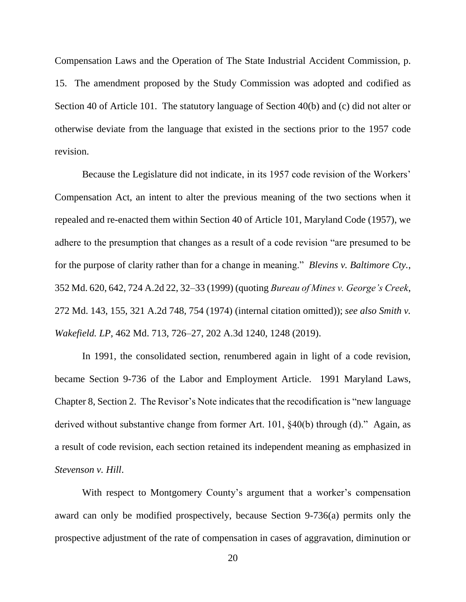Compensation Laws and the Operation of The State Industrial Accident Commission, p. 15. The amendment proposed by the Study Commission was adopted and codified as Section 40 of Article 101. The statutory language of Section 40(b) and (c) did not alter or otherwise deviate from the language that existed in the sections prior to the 1957 code revision.

Because the Legislature did not indicate, in its 1957 code revision of the Workers' Compensation Act, an intent to alter the previous meaning of the two sections when it repealed and re-enacted them within Section 40 of Article 101, Maryland Code (1957), we adhere to the presumption that changes as a result of a code revision "are presumed to be for the purpose of clarity rather than for a change in meaning." *Blevins v. Baltimore Cty.*, 352 Md. 620, 642, 724 A.2d 22, 32–33 (1999) (quoting *Bureau of Mines v. George's Creek*, 272 Md. 143, 155, 321 A.2d 748, 754 (1974) (internal citation omitted)); *see also Smith v. Wakefield. LP*, 462 Md. 713, 726–27, 202 A.3d 1240, 1248 (2019).

In 1991, the consolidated section, renumbered again in light of a code revision, became Section 9-736 of the Labor and Employment Article. 1991 Maryland Laws, Chapter 8, Section 2. The Revisor's Note indicates that the recodification is "new language derived without substantive change from former Art. 101, §40(b) through (d)." Again, as a result of code revision, each section retained its independent meaning as emphasized in *Stevenson v. Hill*.

With respect to Montgomery County's argument that a worker's compensation award can only be modified prospectively, because Section 9-736(a) permits only the prospective adjustment of the rate of compensation in cases of aggravation, diminution or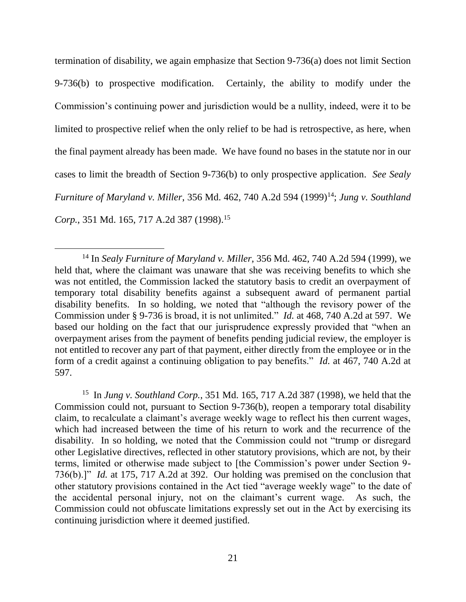termination of disability, we again emphasize that Section 9-736(a) does not limit Section 9-736(b) to prospective modification. Certainly, the ability to modify under the Commission's continuing power and jurisdiction would be a nullity, indeed, were it to be limited to prospective relief when the only relief to be had is retrospective, as here, when the final payment already has been made. We have found no bases in the statute nor in our cases to limit the breadth of Section 9-736(b) to only prospective application. *See Sealy Furniture of Maryland v. Miller*, 356 Md. 462, 740 A.2d 594 (1999)<sup>14</sup>; *Jung v. Southland Corp.*, 351 Md. 165, 717 A.2d 387 (1998).<sup>15</sup>

 $\overline{a}$ 

15 In *Jung v. Southland Corp.*, 351 Md. 165, 717 A.2d 387 (1998), we held that the Commission could not, pursuant to Section 9-736(b), reopen a temporary total disability claim, to recalculate a claimant's average weekly wage to reflect his then current wages, which had increased between the time of his return to work and the recurrence of the disability. In so holding, we noted that the Commission could not "trump or disregard other Legislative directives, reflected in other statutory provisions, which are not, by their terms, limited or otherwise made subject to [the Commission's power under Section 9- 736(b).]" *Id.* at 175, 717 A.2d at 392. Our holding was premised on the conclusion that other statutory provisions contained in the Act tied "average weekly wage" to the date of the accidental personal injury, not on the claimant's current wage. As such, the Commission could not obfuscate limitations expressly set out in the Act by exercising its continuing jurisdiction where it deemed justified.

<sup>14</sup> In *Sealy Furniture of Maryland v. Miller*, 356 Md. 462, 740 A.2d 594 (1999), we held that, where the claimant was unaware that she was receiving benefits to which she was not entitled, the Commission lacked the statutory basis to credit an overpayment of temporary total disability benefits against a subsequent award of permanent partial disability benefits. In so holding, we noted that "although the revisory power of the Commission under § 9-736 is broad, it is not unlimited." *Id.* at 468, 740 A.2d at 597. We based our holding on the fact that our jurisprudence expressly provided that "when an overpayment arises from the payment of benefits pending judicial review, the employer is not entitled to recover any part of that payment, either directly from the employee or in the form of a credit against a continuing obligation to pay benefits." *Id.* at 467, 740 A.2d at 597.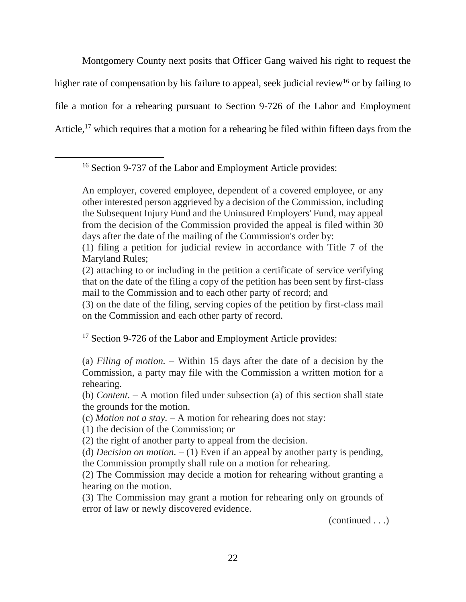Montgomery County next posits that Officer Gang waived his right to request the higher rate of compensation by his failure to appeal, seek judicial review<sup>16</sup> or by failing to file a motion for a rehearing pursuant to Section 9-726 of the Labor and Employment Article,<sup>17</sup> which requires that a motion for a rehearing be filed within fifteen days from the

<sup>16</sup> Section 9-737 of the Labor and Employment Article provides:

 $\overline{a}$ 

An employer, covered employee, dependent of a covered employee, or any other interested person aggrieved by a decision of the Commission, including the Subsequent Injury Fund and the Uninsured Employers' Fund, may appeal from the decision of the Commission provided the appeal is filed within 30 days after the date of the mailing of the Commission's order by:

<sup>17</sup> Section 9-726 of the Labor and Employment Article provides:

(a) *Filing of motion.* – Within 15 days after the date of a decision by the Commission, a party may file with the Commission a written motion for a rehearing.

(1) the decision of the Commission; or

(2) the right of another party to appeal from the decision.

(d) *Decision on motion.* – (1) Even if an appeal by another party is pending, the Commission promptly shall rule on a motion for rehearing.

(2) The Commission may decide a motion for rehearing without granting a hearing on the motion.

(3) The Commission may grant a motion for rehearing only on grounds of error of law or newly discovered evidence.

(continued . . .)

<sup>(1)</sup> filing a petition for judicial review in accordance with Title 7 of the Maryland Rules;

<sup>(2)</sup> attaching to or including in the petition a certificate of service verifying that on the date of the filing a copy of the petition has been sent by first-class mail to the Commission and to each other party of record; and

<sup>(3)</sup> on the date of the filing, serving copies of the petition by first-class mail on the Commission and each other party of record.

<sup>(</sup>b) *Content.* – A motion filed under subsection (a) of this section shall state the grounds for the motion.

<sup>(</sup>c) *Motion not a stay.* – A motion for rehearing does not stay: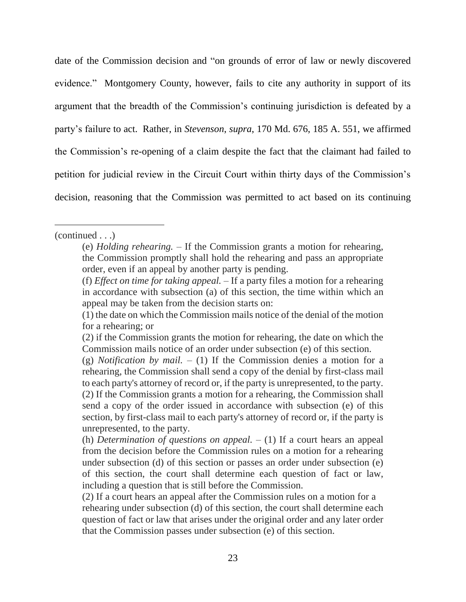date of the Commission decision and "on grounds of error of law or newly discovered evidence." Montgomery County, however, fails to cite any authority in support of its argument that the breadth of the Commission's continuing jurisdiction is defeated by a party's failure to act. Rather, in *Stevenson*, *supra*, 170 Md. 676, 185 A. 551, we affirmed the Commission's re-opening of a claim despite the fact that the claimant had failed to petition for judicial review in the Circuit Court within thirty days of the Commission's decision, reasoning that the Commission was permitted to act based on its continuing

<sup>(</sup>continued . . .)

<sup>(</sup>e) *Holding rehearing.* – If the Commission grants a motion for rehearing, the Commission promptly shall hold the rehearing and pass an appropriate order, even if an appeal by another party is pending.

<sup>(</sup>f) *Effect on time for taking appeal.* – If a party files a motion for a rehearing in accordance with subsection (a) of this section, the time within which an appeal may be taken from the decision starts on:

<sup>(1)</sup> the date on which the Commission mails notice of the denial of the motion for a rehearing; or

<sup>(2)</sup> if the Commission grants the motion for rehearing, the date on which the Commission mails notice of an order under subsection (e) of this section.

<sup>(</sup>g) *Notification by mail.* – (1) If the Commission denies a motion for a rehearing, the Commission shall send a copy of the denial by first-class mail to each party's attorney of record or, if the party is unrepresented, to the party. (2) If the Commission grants a motion for a rehearing, the Commission shall send a copy of the order issued in accordance with subsection (e) of this section, by first-class mail to each party's attorney of record or, if the party is unrepresented, to the party.

<sup>(</sup>h) *Determination of questions on appeal.* – (1) If a court hears an appeal from the decision before the Commission rules on a motion for a rehearing under subsection (d) of this section or passes an order under subsection (e) of this section, the court shall determine each question of fact or law, including a question that is still before the Commission.

<sup>(2)</sup> If a court hears an appeal after the Commission rules on a motion for a rehearing under subsection (d) of this section, the court shall determine each question of fact or law that arises under the original order and any later order that the Commission passes under subsection (e) of this section.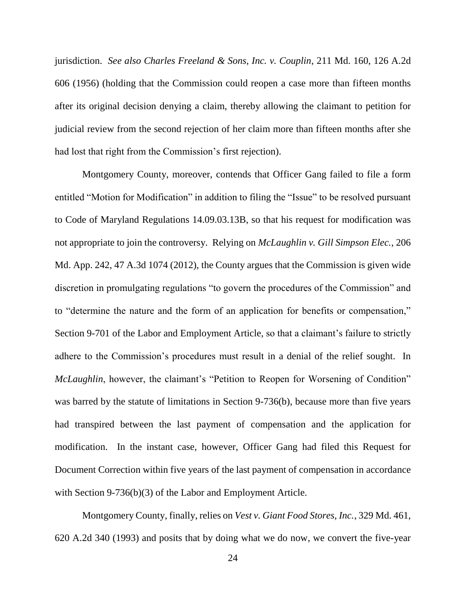jurisdiction. *See also Charles Freeland & Sons, Inc. v. Couplin*, 211 Md. 160, 126 A.2d 606 (1956) (holding that the Commission could reopen a case more than fifteen months after its original decision denying a claim, thereby allowing the claimant to petition for judicial review from the second rejection of her claim more than fifteen months after she had lost that right from the Commission's first rejection).

Montgomery County, moreover, contends that Officer Gang failed to file a form entitled "Motion for Modification" in addition to filing the "Issue" to be resolved pursuant to Code of Maryland Regulations 14.09.03.13B, so that his request for modification was not appropriate to join the controversy. Relying on *McLaughlin v. Gill Simpson Elec.*, 206 Md. App. 242, 47 A.3d 1074 (2012), the County argues that the Commission is given wide discretion in promulgating regulations "to govern the procedures of the Commission" and to "determine the nature and the form of an application for benefits or compensation," Section 9-701 of the Labor and Employment Article, so that a claimant's failure to strictly adhere to the Commission's procedures must result in a denial of the relief sought. In *McLaughlin*, however, the claimant's "Petition to Reopen for Worsening of Condition" was barred by the statute of limitations in Section 9-736(b), because more than five years had transpired between the last payment of compensation and the application for modification. In the instant case, however, Officer Gang had filed this Request for Document Correction within five years of the last payment of compensation in accordance with Section 9-736(b)(3) of the Labor and Employment Article.

Montgomery County, finally, relies on *Vest v. Giant Food Stores, Inc.*, 329 Md. 461, 620 A.2d 340 (1993) and posits that by doing what we do now, we convert the five-year